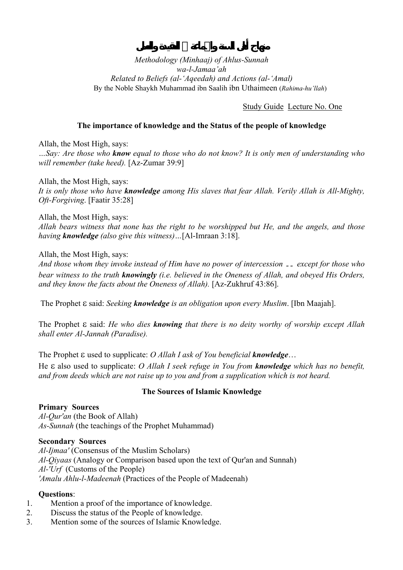## Study Guide Lecture No. One

## **The importance of knowledge and the Status of the people of knowledge**

Allah, the Most High, says: *…Say: Are those who know equal to those who do not know? It is only men of understanding who will remember (take heed).* [Az-Zumar 39:9]

Allah, the Most High, says: *It is only those who have knowledge among His slaves that fear Allah. Verily Allah is All-Mighty, Oft-Forgiving*. [Faatir 35:28]

Allah, the Most High, says: *Allah bears witness that none has the right to be worshipped but He, and the angels, and those having knowledge (also give this witness)…*[Al-Imraan 3:18].

### Allah, the Most High, says:

*And those whom they invoke instead of Him have no power of intercession* ــ *except for those who bear witness to the truth knowingly (i.e. believed in the Oneness of Allah, and obeyed His Orders, and they know the facts about the Oneness of Allah).* [Az-Zukhruf 43:86].

The Prophet ε said: *Seeking knowledge is an obligation upon every Muslim*. [Ibn Maajah].

The Prophet ε said: *He who dies knowing that there is no deity worthy of worship except Allah shall enter Al-Jannah (Paradise).*

The Prophet ε used to supplicate: *O Allah I ask of You beneficial knowledge*…

He ε also used to supplicate: *O Allah I seek refuge in You from knowledge which has no benefit, and from deeds which are not raise up to you and from a supplication which is not heard.* 

## **The Sources of Islamic Knowledge**

### **Primary Sources**

*Al-Qur'an* (the Book of Allah) *As-Sunnah* (the teachings of the Prophet Muhammad)

### **Secondary Sources**

*Al-Ijmaa'* (Consensus of the Muslim Scholars) *Al-Qiyaas* (Analogy or Comparison based upon the text of Qur'an and Sunnah) *Al-'Urf* (Customs of the People) *'Amalu Ahlu-l-Madeenah* (Practices of the People of Madeenah)

- 1. Mention a proof of the importance of knowledge.
- 2. Discuss the status of the People of knowledge.
- 3. Mention some of the sources of Islamic Knowledge.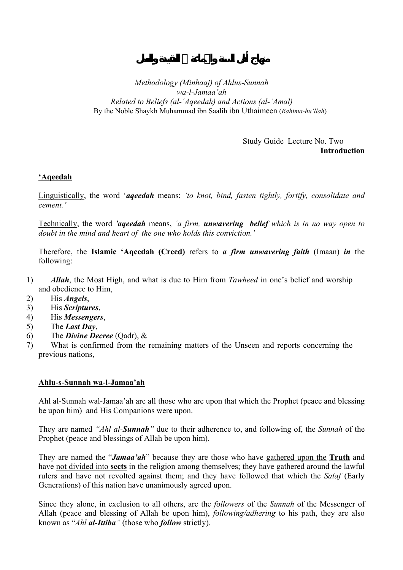## Study Guide Lecture No. Two **Introduction**

## **'Aqeedah**

Linguistically, the word '*aqeedah* means: *'to knot, bind, fasten tightly, fortify, consolidate and cement.'* 

Technically, the word *'aqeedah* means, *'a firm, unwavering belief which is in no way open to doubt in the mind and heart of the one who holds this conviction.'* 

Therefore, the **Islamic 'Aqeedah (Creed)** refers to *a firm unwavering faith* (Imaan) *in* the following:

- 1) *Allah*, the Most High, and what is due to Him from *Tawheed* in one's belief and worship and obedience to Him,
- 2) His *Angels*,
- 3) His *Scriptures*,
- 4) His *Messengers*,
- 5) The *Last Day*,
- 6) The *Divine Decree* (Qadr), &

7) What is confirmed from the remaining matters of the Unseen and reports concerning the previous nations,

### **Ahlu-s-Sunnah wa-l-Jamaa'ah**

Ahl al-Sunnah wal-Jamaa'ah are all those who are upon that which the Prophet (peace and blessing be upon him) and His Companions were upon.

They are named *"Ahl al-Sunnah"* due to their adherence to, and following of, the *Sunnah* of the Prophet (peace and blessings of Allah be upon him).

They are named the "*Jamaa'ah*" because they are those who have gathered upon the **Truth** and have not divided into **sects** in the religion among themselves; they have gathered around the lawful rulers and have not revolted against them; and they have followed that which the *Salaf* (Early Generations) of this nation have unanimously agreed upon.

Since they alone, in exclusion to all others, are the *followers* of the *Sunnah* of the Messenger of Allah (peace and blessing of Allah be upon him), *following/adhering* to his path, they are also known as "*Ahl al-Ittiba"* (those who *follow* strictly).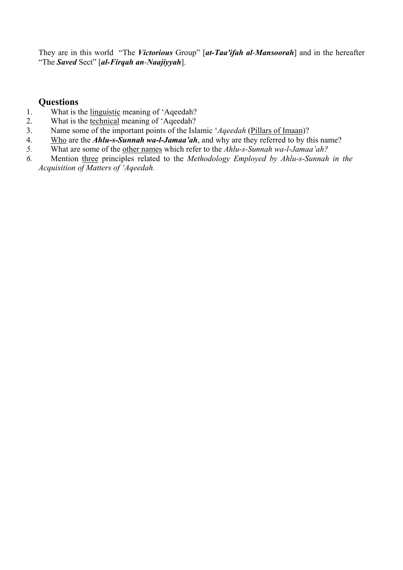They are in this world "The *Victorious* Group" [*at-Taa'ifah al-Mansoorah*] and in the hereafter "The *Saved* Sect" [*al-Firqah an-Naajiyyah*].

- 1. What is the linguistic meaning of 'Aqeedah?
- 2. What is the technical meaning of 'Aqeedah?
- 3. Name some of the important points of the Islamic '*Aqeedah* (Pillars of Imaan)?
- 4. Who are the *Ahlu-s-Sunnah wa-l-Jamaa'ah*, and why are they referred to by this name?
- *5.* What are some of the other names which refer to the *Ahlu-s-Sunnah wa-l-Jamaa'ah?*
- *6.* Mention three principles related to the *Methodology Employed by Ahlu-s-Sunnah in the Acquisition of Matters of 'Aqeedah.*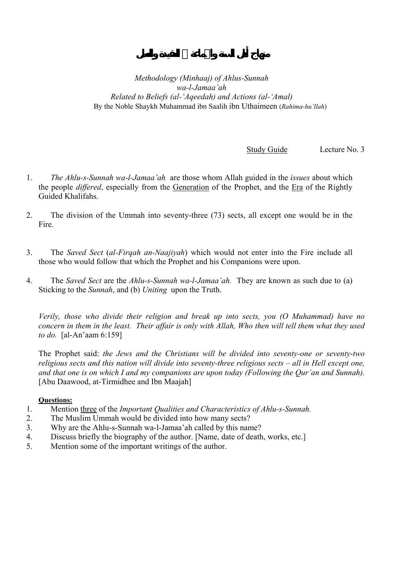Study Guide Lecture No. 3

- 1. *The Ahlu-s-Sunnah wa-l-Jamaa'ah* are those whom Allah guided in the *issues* about which the people *differed*, especially from the Generation of the Prophet, and the Era of the Rightly Guided Khalifahs.
- 2. The division of the Ummah into seventy-three (73) sects, all except one would be in the Fire.
- 3. The *Saved Sect* (*al-Firqah an-Naajiyah*) which would not enter into the Fire include all those who would follow that which the Prophet and his Companions were upon.
- 4. The *Saved Sect* are the *Ahlu-s-Sunnah wa-l-Jamaa'ah.* They are known as such due to (a) Sticking to the *Sunnah*, and (b) *Uniting* upon the Truth.

*Verily, those who divide their religion and break up into sects, you (O Muhammad) have no concern in them in the least. Their affair is only with Allah, Who then will tell them what they used to do.* [al-An'aam 6:159]

The Prophet said: *the Jews and the Christians will be divided into seventy-one or seventy-two religious sects and this nation will divide into seventy-three religious sects – all in Hell except one, and that one is on which I and my companions are upon today (Following the Qur'an and Sunnah).*  [Abu Daawood, at-Tirmidhee and Ibn Maajah]

- 1. Mention three of the *Important Qualities and Characteristics of Ahlu-s-Sunnah.*
- 2. The Muslim Ummah would be divided into how many sects?
- 3. Why are the Ahlu-s-Sunnah wa-l-Jamaa'ah called by this name?
- 4. Discuss briefly the biography of the author. [Name, date of death, works, etc.]
- 5. Mention some of the important writings of the author.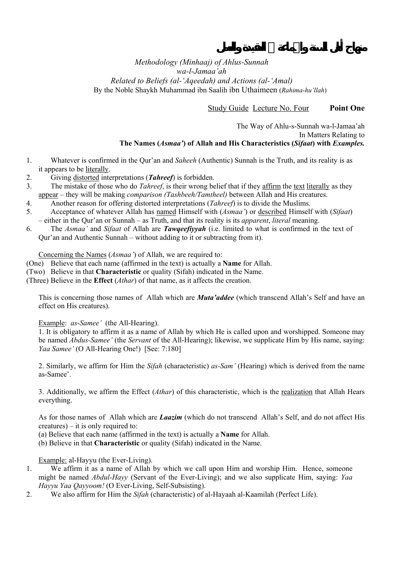Study Guide Lecture No. Four **Point One** 

#### The Way of Ahlu-s-Sunnah wa-l-Jamaa'ah In Matters Relating to **The Names (***Asmaa'***) of Allah and His Characteristics (***Sifaat***) with** *Examples.*

- 1. Whatever is confirmed in the Qur'an and *Saheeh* (Authentic) Sunnah is the Truth, and its reality is as it appears to be literally.
- 2. Giving distorted interpretations (*Tahreef*) is forbidden.
- 3. The mistake of those who do *Tahreef*, is their wrong belief that if they affirm the text literally as they appear – they will be making *comparison (Tashbeeh/Tamtheel)* between Allah and His creatures.
- 4. Another reason for offering distorted interpretations (*Tahreef*) is to divide the Muslims.
- 5. Acceptance of whatever Allah has named Himself with (*Asmaa'*) or described Himself with (*Sifaat*) – either in the Qur'an or Sunnah – as Truth, and that its reality is its *apparent*, *literal* meaning.
- 6. The *Asmaa'* and *Sifaat* of Allah are *Tawqeefiyyah* (i.e. limited to what is confirmed in the text of Qur'an and Authentic Sunnah – without adding to it or subtracting from it).

Concerning the Names (*Asmaa'*) of Allah, we are required to:

- (One) Believe that each name (affirmed in the text) is actually a **Name** for Allah.
- (Two) Believe in that **Characteristic** or quality (Sifah) indicated in the Name.
- (Three) Believe in the **Effect** (*Athar*) of that name, as it affects the creation.

This is concerning those names of Allah which are *Muta'addee* (which transcend Allah's Self and have an effect on His creatures).

#### Example: *as*-*Samee'* (the All-Hearing).

1. It is obligatory to affirm it as a name of Allah by which He is called upon and worshipped. Someone may be named *Abdus-Samee'* (the *Servant* of the All-Hearing); likewise, we supplicate Him by His name, saying: *Yaa Samee'* (O All-Hearing One!) [See: 7:180]

2. Similarly, we affirm for Him the *Sifah* (characteristic) *as-Sam'* (Hearing) which is derived from the name as-Samee'.

3. Additionally, we affirm the Effect (*Athar*) of this characteristic, which is the realization that Allah Hears everything.

As for those names of Allah which are *Laazim* (which do not transcend Allah's Self, and do not affect His creatures) – it is only required to:

(a) Believe that each name (affirmed in the text) is actually a **Name** for Allah.

(b) Believe in that **Characteristic** or quality (Sifah) indicated in the Name.

Example: al-Hayyu (the Ever-Living).

- 1. We affirm it as a name of Allah by which we call upon Him and worship Him. Hence, someone might be named *Abdul-Hayy* (Servant of the Ever-Living); and we also supplicate Him, saying: *Yaa Hayyu Yaa Qayyoom!* (O Ever-Living, Self-Subsisting).
- 2. We also affirm for Him the *Sifah* (characteristic) of al-Hayaah al-Kaamilah (Perfect Life).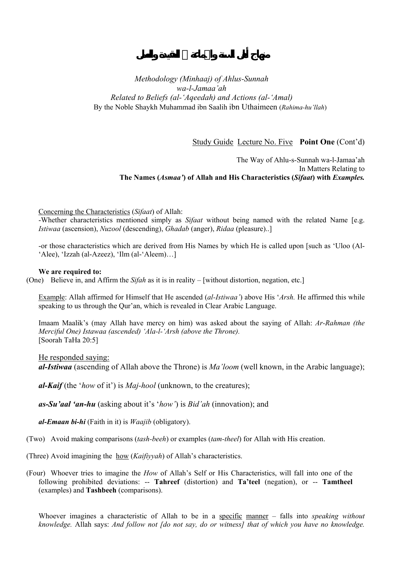Study Guide Lecture No. Five **Point One** (Cont'd)

The Way of Ahlu-s-Sunnah wa-l-Jamaa'ah In Matters Relating to **The Names (***Asmaa'***) of Allah and His Characteristics (***Sifaat***) with** *Examples.* 

Concerning the Characteristics (*Sifaat*) of Allah:

-Whether characteristics mentioned simply as *Sifaat* without being named with the related Name [e.g. *Istiwaa* (ascension), *Nuzool* (descending), *Ghadab* (anger), *Ridaa* (pleasure)..]

-or those characteristics which are derived from His Names by which He is called upon [such as 'Uloo (Al- 'Alee), 'Izzah (al-Azeez), 'Ilm (al-'Aleem)…]

#### **We are required to:**

(One) Believe in, and Affirm the *Sifah* as it is in reality – [without distortion, negation, etc.]

Example: Allah affirmed for Himself that He ascended (*al-Istiwaa'*) above His '*Arsh.* He affirmed this while speaking to us through the Qur'an, which is revealed in Clear Arabic Language.

Imaam Maalik's (may Allah have mercy on him) was asked about the saying of Allah: *Ar-Rahman (the Merciful One) Istawaa (ascended) 'Ala-l-'Arsh (above the Throne).*  [Soorah TaHa 20:5]

He responded saying:

*al-Istiwaa* (ascending of Allah above the Throne) is *Ma'loom* (well known, in the Arabic language);

*al-Kaif* (the '*how* of it') is *Maj-hool* (unknown, to the creatures);

*as-Su'aal 'an-hu* (asking about it's '*how'*) is *Bid'ah* (innovation); and

*al-Emaan bi-hi* (Faith in it) is *Waajib* (obligatory).

(Two) Avoid making comparisons (*tash-beeh*) or examples (*tam-theel*) for Allah with His creation.

(Three) Avoid imagining the how (*Kaifiyyah*) of Allah's characteristics.

(Four) Whoever tries to imagine the *How* of Allah's Self or His Characteristics, will fall into one of the following prohibited deviations: -- **Tahreef** (distortion) and **Ta'teel** (negation), or -- **Tamtheel** (examples) and **Tashbeeh** (comparisons).

Whoever imagines a characteristic of Allah to be in a specific manner – falls into *speaking without knowledge.* Allah says: *And follow not [do not say, do or witness] that of which you have no knowledge.*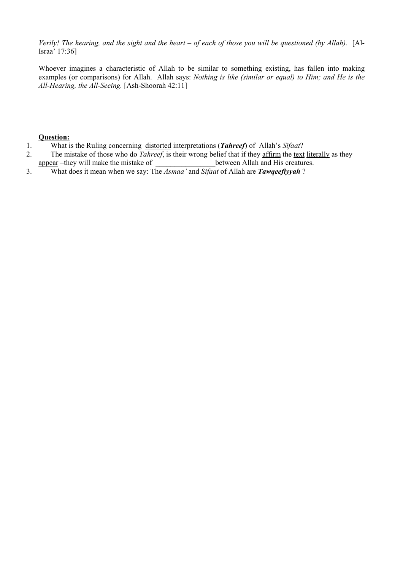*Verily! The hearing, and the sight and the heart – of each of those you will be questioned (by Allah).* [Al-Israa' 17:36]

Whoever imagines a characteristic of Allah to be similar to something existing, has fallen into making examples (or comparisons) for Allah. Allah says: *Nothing is like (similar or equal) to Him; and He is the All-Hearing, the All-Seeing.* [Ash-Shoorah 42:11]

- 1. What is the Ruling concerning distorted interpretations (*Tahreef*) of Allah's *Sifaat*?
- 2. The mistake of those who do *Tahreef*, is their wrong belief that if they affirm the text literally as they
- appear –they will make the mistake of between Allah and His creatures.
- 3. What does it mean when we say: The *Asmaa'* and *Sifaat* of Allah are *Tawqeefiyyah* ?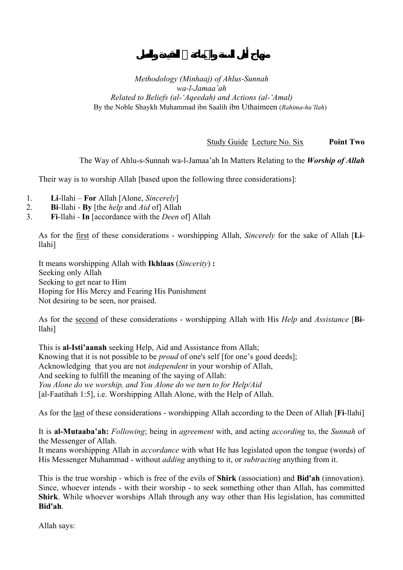Study Guide Lecture No. Six **Point Two** 

The Way of Ahlu-s-Sunnah wa-l-Jamaa'ah In Matters Relating to the *Worship of Allah* 

Their way is to worship Allah [based upon the following three considerations]:

- 1. **Li**-llahi **For** Allah [Alone, *Sincerely*]
- 2. **Bi**-llahi **By** [the *help* and *Aid* of] Allah
- 3. **Fi**-llahi **In** [accordance with the *Deen* of] Allah

As for the first of these considerations - worshipping Allah, *Sincerely* for the sake of Allah [**Li**llahi]

It means worshipping Allah with **Ikhlaas** (*Sincerity*) **:**  Seeking only Allah Seeking to get near to Him Hoping for His Mercy and Fearing His Punishment Not desiring to be seen, nor praised.

As for the second of these considerations - worshipping Allah with His *Help* and *Assistance* [**Bi**llahi]

This is **al-Isti'aanah** seeking Help, Aid and Assistance from Allah; Knowing that it is not possible to be *proud* of one's self [for one's good deeds]; Acknowledging that you are not *independent* in your worship of Allah, And seeking to fulfill the meaning of the saying of Allah: *You Alone do we worship, and You Alone do we turn to for Help/Aid* [al-Faatihah 1:5], i.e. Worshipping Allah Alone, with the Help of Allah.

As for the last of these considerations - worshipping Allah according to the Deen of Allah [**Fi**-llahi]

It is **al-Mutaaba'ah:** *Following*; being in *agreement* with, and acting *according* to, the *Sunnah* of the Messenger of Allah.

It means worshipping Allah in *accordance* with what He has legislated upon the tongue (words) of His Messenger Muhammad - without *adding* anything to it, or *subtracting* anything from it.

This is the true worship - which is free of the evils of **Shirk** (association) and **Bid'ah** (innovation). Since, whoever intends - with their worship - to seek something other than Allah, has committed **Shirk**. While whoever worships Allah through any way other than His legislation, has committed **Bid'ah**.

Allah says: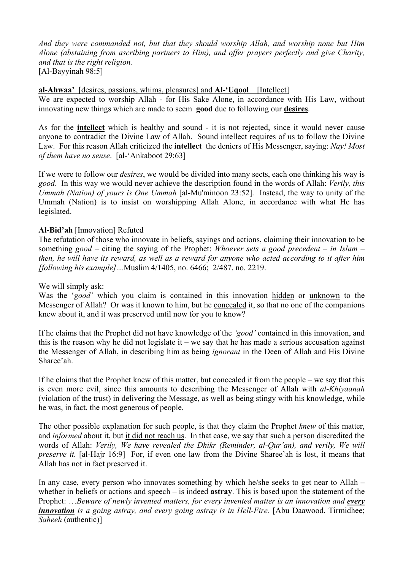*And they were commanded not, but that they should worship Allah, and worship none but Him Alone (abstaining from ascribing partners to Him), and offer prayers perfectly and give Charity, and that is the right religion.*  [Al-Bayyinah 98:5]

### **al-Ahwaa'** [desires, passions, whims, pleasures] and **Al-'Uqool** [Intellect]

We are expected to worship Allah - for His Sake Alone, in accordance with His Law, without innovating new things which are made to seem **good** due to following our **desires**.

As for the **intellect** which is healthy and sound - it is not rejected, since it would never cause anyone to contradict the Divine Law of Allah. Sound intellect requires of us to follow the Divine Law. For this reason Allah criticized the **intellect** the deniers of His Messenger, saying: *Nay! Most of them have no sense*. [al-'Ankaboot 29:63]

If we were to follow our *desires*, we would be divided into many sects, each one thinking his way is *good*. In this way we would never achieve the description found in the words of Allah: *Verily, this Ummah (Nation) of yours is One Ummah* [al-Mu'minoon 23:52]. Instead, the way to unity of the Ummah (Nation) is to insist on worshipping Allah Alone, in accordance with what He has legislated.

## **Al-Bid'ah** [Innovation] Refuted

The refutation of those who innovate in beliefs, sayings and actions, claiming their innovation to be something *good* – citing the saying of the Prophet: *Whoever sets a good precedent – in Islam – then, he will have its reward, as well as a reward for anyone who acted according to it after him [following his example]…*Muslim 4/1405, no. 6466; 2/487, no. 2219.

We will simply ask:

Was the '*good'* which you claim is contained in this innovation hidden or unknown to the Messenger of Allah? Or was it known to him, but he concealed it, so that no one of the companions knew about it, and it was preserved until now for you to know?

If he claims that the Prophet did not have knowledge of the *'good'* contained in this innovation, and this is the reason why he did not legislate it – we say that he has made a serious accusation against the Messenger of Allah, in describing him as being *ignorant* in the Deen of Allah and His Divine Sharee'ah.

If he claims that the Prophet knew of this matter, but concealed it from the people – we say that this is even more evil, since this amounts to describing the Messenger of Allah with *al*-*Khiyaanah* (violation of the trust) in delivering the Message, as well as being stingy with his knowledge, while he was, in fact, the most generous of people.

The other possible explanation for such people, is that they claim the Prophet *knew* of this matter, and *informed* about it, but it did not reach us. In that case, we say that such a person discredited the words of Allah: *Verily, We have revealed the Dhikr (Reminder, al-Qur'an), and verily, We will preserve it.* [al-Hajr 16:9] For, if even one law from the Divine Sharee'ah is lost, it means that Allah has not in fact preserved it.

In any case, every person who innovates something by which he/she seeks to get near to Allah – whether in beliefs or actions and speech – is indeed **astray**. This is based upon the statement of the Prophet: ...*Beware of newly invented matters, for every invented matter is an innovation and every innovation is a going astray, and every going astray is in Hell-Fire.* [Abu Daawood, Tirmidhee; *Saheeh* (authentic)]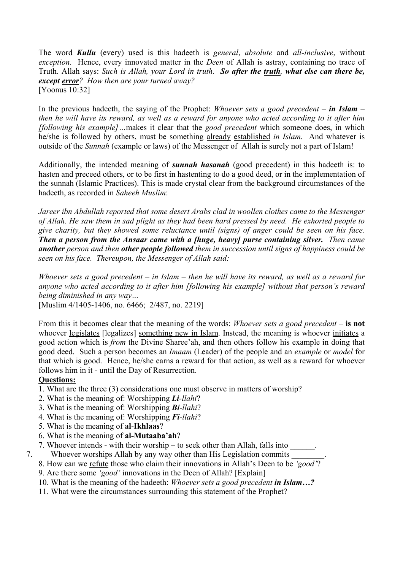The word *Kullu* (every) used is this hadeeth is *general*, *absolute* and *all-inclusive*, without *exception*. Hence, every innovated matter in the *Deen* of Allah is astray, containing no trace of Truth. Allah says: *Such is Allah, your Lord in truth. So after the truth, what else can there be, except error? How then are your turned away?*  [Yoonus 10:32]

In the previous hadeeth, the saying of the Prophet: *Whoever sets a good precedent – in Islam – then he will have its reward, as well as a reward for anyone who acted according to it after him [following his example]…*makes it clear that the *good precedent* which someone does, in which he/she is followed by others, must be something already established *in Islam.* And whatever is outside of the *Sunnah* (example or laws) of the Messenger of Allah is surely not a part of Islam!

Additionally, the intended meaning of *sunnah hasanah* (good precedent) in this hadeeth is: to hasten and preceed others, or to be first in hastenting to do a good deed, or in the implementation of the sunnah (Islamic Practices). This is made crystal clear from the background circumstances of the hadeeth, as recorded in *Saheeh Muslim*:

*Jareer ibn Abdullah reported that some desert Arabs clad in woollen clothes came to the Messenger of Allah. He saw them in sad plight as they had been hard pressed by need. He exhorted people to give charity, but they showed some reluctance until (signs) of anger could be seen on his face. Then a person from the Ansaar came with a [huge, heavy] purse containing silver. Then came another person and then other people followed them in succession until signs of happiness could be seen on his face. Thereupon, the Messenger of Allah said:* 

*Whoever sets a good precedent – in Islam – then he will have its reward, as well as a reward for anyone who acted according to it after him [following his example] without that person's reward being diminished in any way…* 

[Muslim 4/1405-1406, no. 6466; 2/487, no. 2219]

From this it becomes clear that the meaning of the words: *Whoever sets a good precedent* – **is not** whoever legislates [legalizes] something new in Islam. Instead, the meaning is whoever initiates a good action which is *from* the Divine Sharee'ah, and then others follow his example in doing that good deed. Such a person becomes an *Imaam* (Leader) of the people and an *example* or *model* for that which is good. Hence, he/she earns a reward for that action, as well as a reward for whoever follows him in it - until the Day of Resurrection.

- 1. What are the three (3) considerations one must observe in matters of worship?
- 2. What is the meaning of: Worshipping *Li-llahi*?
- 3. What is the meaning of: Worshipping *Bi-llahi*?
- 4. What is the meaning of: Worshipping *Fi-llahi*?
- 5. What is the meaning of **al**-**Ikhlaas**?
- 6. What is the meaning of **al-Mutaaba'ah**?
- 7. Whoever intends with their worship to seek other than Allah, falls into
- 7. Whoever worships Allah by any way other than His Legislation commits
	- 8. How can we refute those who claim their innovations in Allah's Deen to be *'good'*?
	- 9. Are there some *'good'* innovations in the Deen of Allah? [Explain]
	- 10. What is the meaning of the hadeeth: *Whoever sets a good precedent in Islam…?*
	- 11. What were the circumstances surrounding this statement of the Prophet?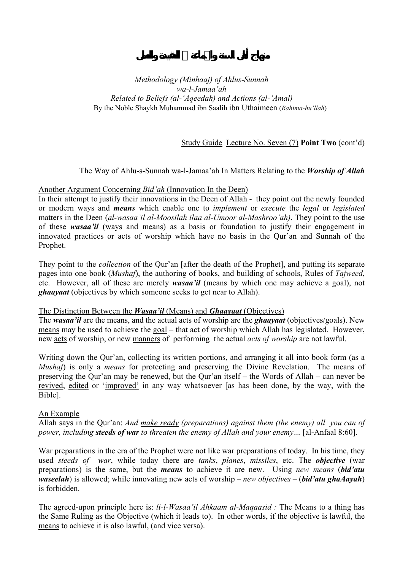## Study Guide Lecture No. Seven (7) **Point Two** (cont'd)

### The Way of Ahlu-s-Sunnah wa-l-Jamaa'ah In Matters Relating to the *Worship of Allah*

#### Another Argument Concerning *Bid'ah* (Innovation In the Deen)

In their attempt to justify their innovations in the Deen of Allah - they point out the newly founded or modern ways and *means* which enable one to *implement* or *execute* the *legal* or *legislated* matters in the Deen (*al-wasaa'il al-Moosilah ilaa al-Umoor al-Mashroo'ah)*. They point to the use of these *wasaa'il* (ways and means) as a basis or foundation to justify their engagement in innovated practices or acts of worship which have no basis in the Qur'an and Sunnah of the Prophet.

They point to the *collection* of the Qur'an [after the death of the Prophet], and putting its separate pages into one book (*Mushaf*), the authoring of books, and building of schools, Rules of *Tajweed*, etc. However, all of these are merely *wasaa'il* (means by which one may achieve a goal), not *ghaayaat* (objectives by which someone seeks to get near to Allah).

#### The Distinction Between the *Wasaa'il* (Means) and *Ghaayaat* (Objectives)

The *wasaa'il* are the means, and the actual acts of worship are the *ghaayaat* (objectives/goals). New means may be used to achieve the goal – that act of worship which Allah has legislated. However, new acts of worship, or new manners of performing the actual *acts of worship* are not lawful.

Writing down the Qur'an, collecting its written portions, and arranging it all into book form (as a *Mushaf*) is only a *means* for protecting and preserving the Divine Revelation. The means of preserving the Qur'an may be renewed, but the Qur'an itself – the Words of Allah – can never be revived, edited or 'improved' in any way whatsoever [as has been done, by the way, with the Bible].

#### An Example

Allah says in the Qur'an: *And make ready (preparations) against them (the enemy) all you can of power, including steeds of war to threaten the enemy of Allah and your enemy…* [al-Anfaal 8:60].

War preparations in the era of the Prophet were not like war preparations of today. In his time, they used *steeds of war*, while today there are *tanks*, *planes*, *missiles*, etc. The *objective* (war preparations) is the same, but the *means* to achieve it are new. Using *new means* (*bid'atu waseelah*) is allowed; while innovating new acts of worship – *new objectives* – (*bid'atu ghaAayah*) is forbidden.

The agreed-upon principle here is: *li-l-Wasaa'il Ahkaam al-Maqaasid :* The Means to a thing has the Same Ruling as the Objective (which it leads to). In other words, if the objective is lawful, the means to achieve it is also lawful, (and vice versa).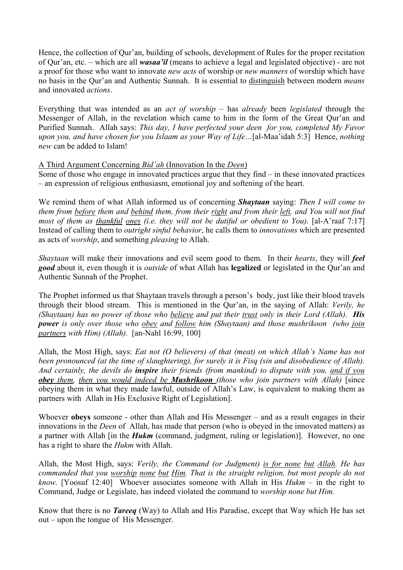Hence, the collection of Qur'an, building of schools, development of Rules for the proper recitation of Qur'an, etc. – which are all *wasaa'il* (means to achieve a legal and legislated objective) - are not a proof for those who want to innovate *new acts* of worship or *new manners* of worship which have no basis in the Qur'an and Authentic Sunnah. It is essential to distinguish between modern *means* and innovated *actions*.

Everything that was intended as an *act of worship –* has *already* been *legislated* through the Messenger of Allah, in the revelation which came to him in the form of the Great Qur'an and Purified Sunnah. Allah says: *This day, I have perfected your deen for you, completed My Favor upon you, and have chosen for you Islaam as your Way of Life…*[al-Maa'idah 5:3] Hence, *nothing new* can be added to Islam!

## A Third Argument Concerning *Bid'ah* (Innovation In the *Deen*)

Some of those who engage in innovated practices argue that they find – in these innovated practices – an expression of religious enthusiasm, emotional joy and softening of the heart.

We remind them of what Allah informed us of concerning *Shaytaan* saying: *Then I will come to them from before them and behind them, from their right and from their left, and You will not find most of them as thankful ones (i.e. they will not be dutiful or obedient to You).* [al-A'raaf 7:17] Instead of calling them to *outright sinful behavior*, he calls them to *innovations* which are presented as acts of *worship*, and something *pleasing* to Allah.

*Shaytaan* will make their innovations and evil seem good to them. In their *hearts*, they will *feel good* about it, even though it is *outside* of what Allah has **legalized** or legislated in the Qur'an and Authentic Sunnah of the Prophet.

The Prophet informed us that Shaytaan travels through a person's body, just like their blood travels through their blood stream. This is mentioned in the Qur'an, in the saying of Allah: *Verily, he (Shaytaan) has no power of those who believe and put their trust only in their Lord (Allah). His power is only over those who obey and follow him (Shaytaan) and those mushrikoon (who join partners with Him) (Allah).* [an-Nahl 16:99, 100]

Allah, the Most High, says: *Eat not (O believers) of that (meat) on which Allah's Name has not been pronounced (at the time of slaughtering), for surely it is Fisq (sin and disobedience of Allah). And certainly, the devils do inspire their friends (from mankind) to dispute with you, and if you obey them, then you would indeed be Mushrikoon (those who join partners with Allah)* [since obeying them in what they made lawful, outside of Allah's Law, is equivalent to making them as partners with Allah in His Exclusive Right of Legislation].

Whoever **obeys** someone - other than Allah and His Messenger – and as a result engages in their innovations in the *Deen* of Allah, has made that person (who is obeyed in the innovated matters) as a partner with Allah [in the *Hukm* (command, judgment, ruling or legislation)]. However, no one has a right to share the *Hukm* with Allah.

Allah, the Most High, says: *Verily, the Command (or Judgment) is for none but Allah. He has commanded that you worship none but Him. That is the straight religion, but most people do not know.* [Yoosuf 12:40] Whoever associates someone with Allah in His *Hukm* – in the right to Command, Judge or Legislate, has indeed violated the command to *worship none but Him.* 

Know that there is no *Tareeq* (Way) to Allah and His Paradise, except that Way which He has set out – upon the tongue of His Messenger.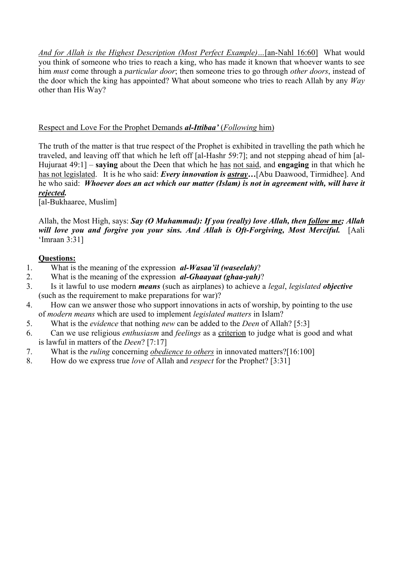*And for Allah is the Highest Description (Most Perfect Example)…*[an-Nahl 16:60] What would you think of someone who tries to reach a king, who has made it known that whoever wants to see him *must* come through a *particular door*; then someone tries to go through *other doors*, instead of the door which the king has appointed? What about someone who tries to reach Allah by any *Way*  other than His Way?

## Respect and Love For the Prophet Demands *al-Ittibaa'* (*Following* him)

The truth of the matter is that true respect of the Prophet is exhibited in travelling the path which he traveled, and leaving off that which he left off [al-Hashr 59:7]; and not stepping ahead of him [al-Hujuraat 49:1] – **saying** about the Deen that which he has not said, and **engaging** in that which he has not legislated. It is he who said: *Every innovation is astray…*[Abu Daawood, Tirmidhee]. And he who said: *Whoever does an act which our matter (Islam) is not in agreement with, will have it rejected.* 

[al-Bukhaaree, Muslim]

Allah, the Most High, says: *Say (O Muhammad): If you (really) love Allah, then follow me; Allah*  will love you and forgive you your sins. And Allah is Oft-Forgiving, Most Merciful. [Aali 'Imraan 3:31]

- 1. What is the meaning of the expression *al-Wasaa'il (waseelah)*?
- 2. What is the meaning of the expression *al-Ghaayaat (ghaa-yah)*?
- 3. Is it lawful to use modern *means* (such as airplanes) to achieve a *legal*, *legislated objective* (such as the requirement to make preparations for war)?
- 4. How can we answer those who support innovations in acts of worship, by pointing to the use of *modern means* which are used to implement *legislated matters* in Islam?
- 5. What is the *evidence* that nothing *new* can be added to the *Deen* of Allah? [5:3]
- 6. Can we use religious *enthusiasm* and *feelings* as a criterion to judge what is good and what is lawful in matters of the *Deen*? [7:17]
- 7. What is the *ruling* concerning *obedience to others* in innovated matters?[16:100]
- 8. How do we express true *love* of Allah and *respect* for the Prophet? [3:31]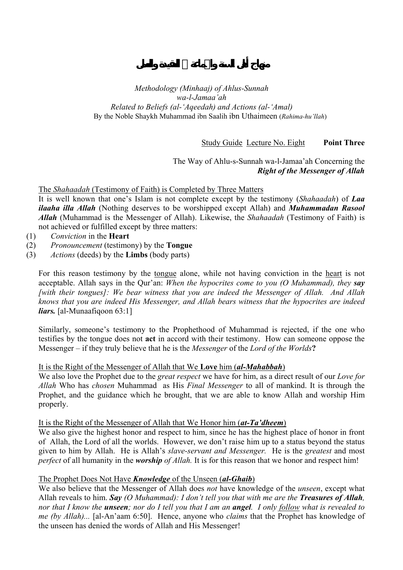Study Guide Lecture No. Eight **Point Three** 

## The Way of Ahlu-s-Sunnah wa-l-Jamaa'ah Concerning the *Right of the Messenger of Allah*

The *Shahaadah* (Testimony of Faith) is Completed by Three Matters

It is well known that one's Islam is not complete except by the testimony (*Shahaadah*) of *Laa ilaaha illa Allah* (Nothing deserves to be worshipped except Allah) and *Muhammadan Rasool Allah* (Muhammad is the Messenger of Allah). Likewise, the *Shahaadah* (Testimony of Faith) is not achieved or fulfilled except by three matters:

- (1) *Conviction* in the **Heart**
- (2) *Pronouncement* (testimony) by the **Tongue**
- (3) *Actions* (deeds) by the **Limbs** (body parts)

For this reason testimony by the tongue alone, while not having conviction in the heart is not acceptable. Allah says in the Qur'an: *When the hypocrites come to you (O Muhammad), they say [with their tongues]: We bear witness that you are indeed the Messenger of Allah. And Allah knows that you are indeed His Messenger, and Allah bears witness that the hypocrites are indeed liars.* [al-Munaafigoon 63:1]

Similarly, someone's testimony to the Prophethood of Muhammad is rejected, if the one who testifies by the tongue does not **act** in accord with their testimony. How can someone oppose the Messenger – if they truly believe that he is the *Messenger* of the *Lord of the Worlds***?** 

#### It is the Right of the Messenger of Allah that We **Love** him (*al-Mahabbah*)

We also love the Prophet due to the *great respect* we have for him, as a direct result of our *Love for Allah* Who has *chosen* Muhammad as His *Final Messenger* to all of mankind. It is through the Prophet, and the guidance which he brought, that we are able to know Allah and worship Him properly.

#### It is the Right of the Messenger of Allah that We Honor him (*at-Ta'dheem*)

We also give the highest honor and respect to him, since he has the highest place of honor in front of Allah, the Lord of all the worlds. However, we don't raise him up to a status beyond the status given to him by Allah. He is Allah's *slave-servant and Messenger.* He is the *greatest* and most *perfect* of all humanity in the *worship of Allah*. It is for this reason that we honor and respect him!

#### The Prophet Does Not Have *Knowledge* of the Unseen (*al-Ghaib*)

We also believe that the Messenger of Allah does *not* have knowledge of the *unseen*, except what Allah reveals to him. *Say (O Muhammad): I don't tell you that with me are the Treasures of Allah, nor that I know the unseen; nor do I tell you that I am an angel. I only follow what is revealed to me (by Allah)...* [al-An'aam 6:50]. Hence, anyone who *claims* that the Prophet has knowledge of the unseen has denied the words of Allah and His Messenger!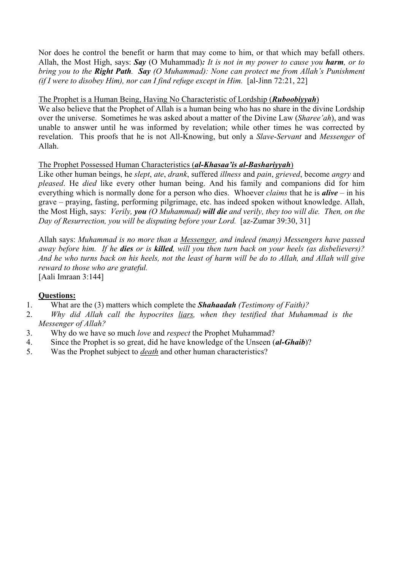Nor does he control the benefit or harm that may come to him, or that which may befall others. Allah, the Most High, says: *Say* (O Muhammad)*: It is not in my power to cause you harm, or to bring you to the Right Path. Say (O Muhammad): None can protect me from Allah's Punishment (if I were to disobey Him), nor can I find refuge except in Him.* [al-Jinn 72:21, 22]

## The Prophet is a Human Being, Having No Characteristic of Lordship (*Ruboobiyyah*)

We also believe that the Prophet of Allah is a human being who has no share in the divine Lordship over the universe. Sometimes he was asked about a matter of the Divine Law (*Sharee'ah*), and was unable to answer until he was informed by revelation; while other times he was corrected by revelation. This proofs that he is not All-Knowing, but only a *Slave*-*Servant* and *Messenger* of Allah.

## The Prophet Possessed Human Characteristics (*al-Khasaa'is al-Bashariyyah*)

Like other human beings, he *slept*, *ate*, *drank*, suffered *illness* and *pain*, *grieved*, become *angry* and *pleased*. He *died* like every other human being. And his family and companions did for him everything which is normally done for a person who dies. Whoever *claims* that he is *alive* – in his grave – praying, fasting, performing pilgrimage, etc. has indeed spoken without knowledge. Allah, the Most High, says: *Verily, you (O Muhammad) will die and verily, they too will die. Then, on the Day of Resurrection, you will be disputing before your Lord.* [az-Zumar 39:30, 31]

Allah says: *Muhammad is no more than a Messenger, and indeed (many) Messengers have passed away before him. If he dies or is killed, will you then turn back on your heels (as disbelievers)? And he who turns back on his heels, not the least of harm will be do to Allah, and Allah will give reward to those who are grateful.* 

[Aali Imraan 3:144]

- 1. What are the (3) matters which complete the *Shahaadah (Testimony of Faith)?*
- 2. *Why did Allah call the hypocrites liars, when they testified that Muhammad is the Messenger of Allah?*
- 3. Why do we have so much *love* and *respect* the Prophet Muhammad?
- 4. Since the Prophet is so great, did he have knowledge of the Unseen (*al-Ghaib*)?
- 5. Was the Prophet subject to *death* and other human characteristics?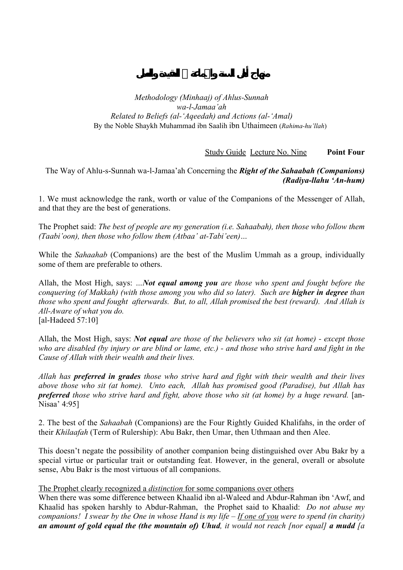Study Guide Lecture No. Nine **Point Four** 

The Way of Ahlu-s-Sunnah wa-l-Jamaa'ah Concerning the *Right of the Sahaabah (Companions) (Radiya-llahu 'An-hum)* 

1. We must acknowledge the rank, worth or value of the Companions of the Messenger of Allah, and that they are the best of generations.

The Prophet said: *The best of people are my generation (i.e. Sahaabah), then those who follow them (Taabi'oon), then those who follow them (Atbaa' at-Tabi'een)…* 

While the *Sahaahab* (Companions) are the best of the Muslim Ummah as a group, individually some of them are preferable to others.

Allah, the Most High, says: *…Not equal among you are those who spent and fought before the conquering (of Makkah) (with those among you who did so later). Such are higher in degree than those who spent and fought afterwards. But, to all, Allah promised the best (reward). And Allah is All-Aware of what you do.*  [al-Hadeed 57:10]

Allah, the Most High, says: *Not equal are those of the believers who sit (at home) - except those who are disabled (by injury or are blind or lame, etc.) - and those who strive hard and fight in the Cause of Allah with their wealth and their lives.* 

*Allah has preferred in grades those who strive hard and fight with their wealth and their lives above those who sit (at home). Unto each, Allah has promised good (Paradise), but Allah has preferred* those who strive hard and fight, above those who sit (at home) by a huge reward. [an-Nisaa' 4:95]

2. The best of the *Sahaabah* (Companions) are the Four Rightly Guided Khalifahs, in the order of their *Khilaafah* (Term of Rulership): Abu Bakr, then Umar, then Uthmaan and then Alee.

This doesn't negate the possibility of another companion being distinguished over Abu Bakr by a special virtue or particular trait or outstanding feat. However, in the general, overall or absolute sense, Abu Bakr is the most virtuous of all companions.

### The Prophet clearly recognized a *distinction* for some companions over others

When there was some difference between Khaalid ibn al-Waleed and Abdur-Rahman ibn 'Awf, and Khaalid has spoken harshly to Abdur-Rahman, the Prophet said to Khaalid: *Do not abuse my companions! I swear by the One in whose Hand is my life – If one of you were to spend (in charity) an amount of gold equal the (the mountain of) Uhud, it would not reach [nor equal] a mudd [a*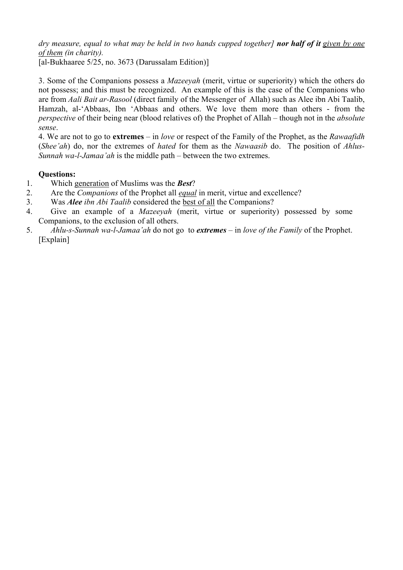*dry measure, equal to what may be held in two hands cupped together] nor half of it given by one of them (in charity).*  [al-Bukhaaree 5/25, no. 3673 (Darussalam Edition)]

3. Some of the Companions possess a *Mazeeyah* (merit, virtue or superiority) which the others do not possess; and this must be recognized. An example of this is the case of the Companions who are from *Aali Bait ar-Rasool* (direct family of the Messenger of Allah) such as Alee ibn Abi Taalib, Hamzah, al-'Abbaas, Ibn 'Abbaas and others. We love them more than others - from the *perspective* of their being near (blood relatives of) the Prophet of Allah – though not in the *absolute sense*.

4. We are not to go to **extremes** – in *love* or respect of the Family of the Prophet, as the *Rawaafidh* (*Shee'ah*) do, nor the extremes of *hated* for them as the *Nawaasib* do. The position of *Ahlus-Sunnah wa-l-Jamaa'ah* is the middle path – between the two extremes.

- 1. Which generation of Muslims was the *Best*?
- 2. Are the *Companions* of the Prophet all *equal* in merit, virtue and excellence?
- 3. Was *Alee ibn Abi Taalib* considered the best of all the Companions?
- 4. Give an example of a *Mazeeyah* (merit, virtue or superiority) possessed by some Companions, to the exclusion of all others.
- 5. *Ahlu-s-Sunnah wa-l-Jamaa'ah* do not go to *extremes* in *love of the Family* of the Prophet. [Explain]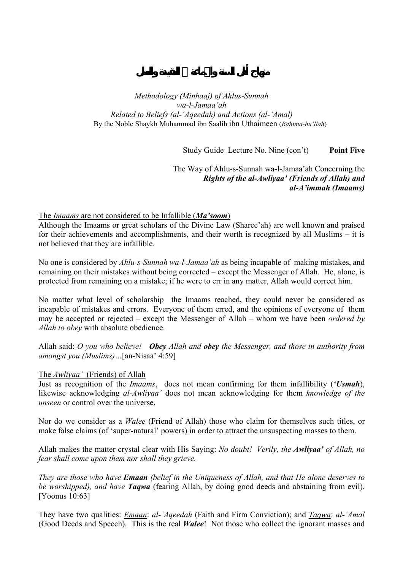Study Guide Lecture No. Nine (con't) **Point Five** 

The Way of Ahlu-s-Sunnah wa-l-Jamaa'ah Concerning the *Rights of the al-Awliyaa' (Friends of Allah) and al-A'immah (Imaams)* 

### The *Imaams* are not considered to be Infallible (*Ma'soom*)

Although the Imaams or great scholars of the Divine Law (Sharee'ah) are well known and praised for their achievements and accomplishments, and their worth is recognized by all Muslims – it is not believed that they are infallible.

No one is considered by *Ahlu-s-Sunnah wa-l-Jamaa'ah* as being incapable of making mistakes, and remaining on their mistakes without being corrected – except the Messenger of Allah. He, alone, is protected from remaining on a mistake; if he were to err in any matter, Allah would correct him.

No matter what level of scholarship the Imaams reached, they could never be considered as incapable of mistakes and errors. Everyone of them erred, and the opinions of everyone of them may be accepted or rejected – except the Messenger of Allah – whom we have been *ordered by Allah to obey* with absolute obedience.

Allah said: *O you who believe! Obey Allah and obey the Messenger, and those in authority from amongst you (Muslims)…*[an-Nisaa' 4:59]

#### The *Awliyaa'* (Friends) of Allah

Just as recognition of the *Imaams*, does not mean confirming for them infallibility (*'Usmah*), likewise acknowledging *al-Awliyaa'* does not mean acknowledging for them *knowledge of the unseen* or control over the universe.

Nor do we consider as a *Walee* (Friend of Allah) those who claim for themselves such titles, or make false claims (of 'super-natural' powers) in order to attract the unsuspecting masses to them.

Allah makes the matter crystal clear with His Saying: *No doubt! Verily, the Awliyaa' of Allah, no fear shall come upon them nor shall they grieve.* 

*They are those who have Emaan (belief in the Uniqueness of Allah, and that He alone deserves to be worshipped), and have Taqwa* (fearing Allah, by doing good deeds and abstaining from evil). [Yoonus 10:63]

They have two qualities: *Emaan*: *al-'Aqeedah* (Faith and Firm Conviction); and *Taqwa*: *al-'Amal* (Good Deeds and Speech). This is the real *Walee*! Not those who collect the ignorant masses and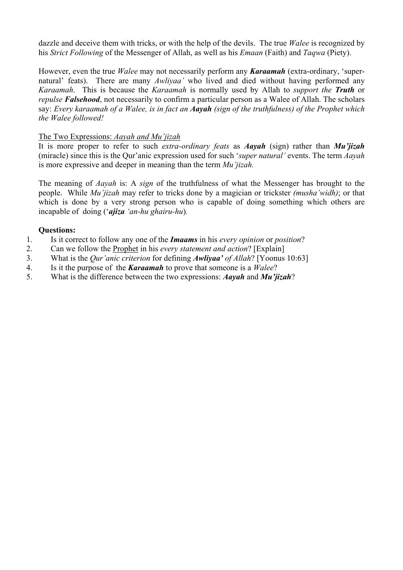dazzle and deceive them with tricks, or with the help of the devils. The true *Walee* is recognized by his *Strict Following* of the Messenger of Allah, as well as his *Emaan* (Faith) and *Taqwa* (Piety).

However, even the true *Walee* may not necessarily perform any *Karaamah* (extra-ordinary, 'supernatural' feats). There are many *Awliyaa'* who lived and died without having performed any *Karaamah*. This is because the *Karaamah* is normally used by Allah to *support the Truth* or *repulse Falsehood*, not necessarily to confirm a particular person as a Walee of Allah. The scholars say: *Every karaamah of a Walee, is in fact an Aayah (sign of the truthfulness) of the Prophet which the Walee followed!* 

## The Two Expressions: *Aayah and Mu'jizah*

It is more proper to refer to such *extra-ordinary feats* as *Aayah* (sign) rather than *Mu'jizah*  (miracle) since this is the Qur'anic expression used for such '*super natural'* events. The term *Aayah*  is more expressive and deeper in meaning than the term *Mu'jizah.* 

The meaning of *Aayah* is: A *sign* of the truthfulness of what the Messenger has brought to the people. While *Mu'jizah* may refer to tricks done by a magician or trickster *(musha'widh)*; or that which is done by a very strong person who is capable of doing something which others are incapable of doing ('*ajiza 'an-hu ghairu-hu*)*.* 

- 1. Is it correct to follow any one of the *Imaams* in his *every opinion* or *position*?
- 2. Can we follow the Prophet in his *every statement and action*? [Explain]
- 3. What is the *Qur'anic criterion* for defining *Awliyaa' of Allah*? [Yoonus 10:63]
- 4. Is it the purpose of the *Karaamah* to prove that someone is a *Walee*?
- 5. What is the difference between the two expressions: *Aayah* and *Mu'jizah*?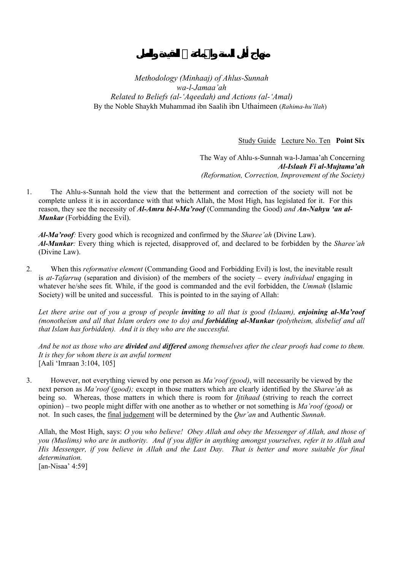Study Guide Lecture No. Ten **Point Six** 

The Way of Ahlu-s-Sunnah wa-l-Jamaa'ah Concerning *Al-Islaah Fi al-Mujtama'ah (Reformation, Correction, Improvement of the Society)* 

1. The Ahlu-s-Sunnah hold the view that the betterment and correction of the society will not be complete unless it is in accordance with that which Allah, the Most High, has legislated for it. For this reason, they see the necessity of *Al-Amru bi-l-Ma'roof* (Commanding the Good) *and An-Nahyu 'an al-Munkar* (Forbidding the Evil).

*Al-Ma'roof:* Every good which is recognized and confirmed by the *Sharee'ah* (Divine Law). *Al-Munkar:* Every thing which is rejected, disapproved of, and declared to be forbidden by the *Sharee'ah* (Divine Law).

2. When this *reformative element* (Commanding Good and Forbidding Evil) is lost, the inevitable result is *at-Tafarruq* (separation and division) of the members of the society – every *individual* engaging in whatever he/she sees fit. While, if the good is commanded and the evil forbidden, the *Ummah* (Islamic Society) will be united and successful. This is pointed to in the saying of Allah:

*Let there arise out of you a group of people inviting to all that is good (Islaam), enjoining al-Ma'roof (monotheism and all that Islam orders one to do) and forbidding al-Munkar (polytheism, disbelief and all that Islam has forbidden). And it is they who are the successful.* 

*And be not as those who are divided and differed among themselves after the clear proofs had come to them. It is they for whom there is an awful torment*  [Aali 'Imraan 3:104, 105]

3. However, not everything viewed by one person as *Ma'roof (good)*, will necessarily be viewed by the next person as *Ma'roof* (*good);* except in those matters which are clearly identified by the *Sharee'ah* as being so. Whereas, those matters in which there is room for *Ijtihaad* (striving to reach the correct opinion) – two people might differ with one another as to whether or not something is *Ma'roof (good)* or not. In such cases, the final judgement will be determined by the *Qur'an* and Authentic *Sunnah*.

Allah, the Most High, says: *O you who believe! Obey Allah and obey the Messenger of Allah, and those of you (Muslims) who are in authority. And if you differ in anything amongst yourselves, refer it to Allah and His Messenger, if you believe in Allah and the Last Day. That is better and more suitable for final determination.* 

[an-Nisaa' 4:59]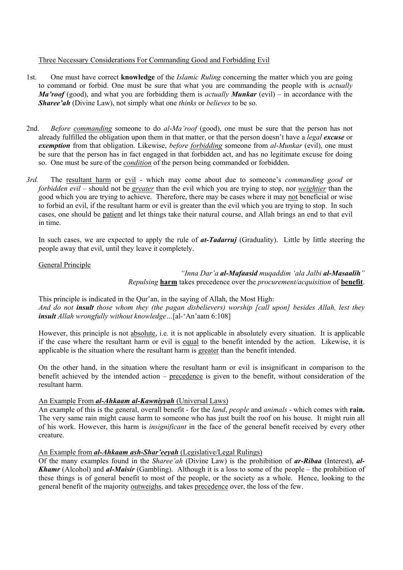#### Three Necessary Considerations For Commanding Good and Forbidding Evil

- 1st. One must have correct **knowledge** of the *Islamic Ruling* concerning the matter which you are going to command or forbid. One must be sure that what you are commanding the people with is *actually Ma'roof* (good), and what you are forbidding them is *actually Munkar* (evil) – in accordance with the *Sharee'ah* (Divine Law), not simply what one *thinks* or *believes* to be so.
- 2nd. *Before commanding* someone to do *al*-*Ma'roof* (good), one must be sure that the person has not already fulfilled the obligation upon them in that matter, or that the person doesn't have a *legal excuse* or *exemption* from that obligation. Likewise, *before forbidding* someone from *al*-*Munkar* (evil), one must be sure that the person has in fact engaged in that forbidden act, and has no legitimate excuse for doing so. One must be sure of the *condition* of the person being commanded or forbidden.
- *3rd.* The resultant harm or evil which may come about due to someone's *commanding good* or *forbidden evil –* should not be *greater* than the evil which you are trying to stop, nor *weightier* than the good which you are trying to achieve. Therefore, there may be cases where it may not beneficial or wise to forbid an evil, if the resultant harm or evil is greater than the evil which you are trying to stop. In such cases, one should be patient and let things take their natural course, and Allah brings an end to that evil in time.

In such cases, we are expected to apply the rule of *at-Tadarruj* (Graduality). Little by little steering the people away that evil, until they leave it completely.

#### General Principle

*"Inna Dar'a al-Mafaasid muqaddim 'ala Jalbi al-Masaalih" Repulsing* **harm** takes precedence over the *procurement/acquisition* of **benefit**.

This principle is indicated in the Qur'an, in the saying of Allah, the Most High: *And do not insult those whom they (the pagan disbelievers) worship [call upon] besides Allah, lest they insult Allah wrongfully without knowledge…*[al-'An'aam 6:108]

However, this principle is not absolute, i.e. it is not applicable in absolutely every situation. It is applicable if the case where the resultant harm or evil is equal to the benefit intended by the action. Likewise, it is applicable is the situation where the resultant harm is greater than the benefit intended.

On the other hand, in the situation where the resultant harm or evil is insignificant in comparison to the benefit achieved by the intended action – precedence is given to the benefit, without consideration of the resultant harm.

#### An Example From *al-Ahkaam al-Kawniyyah* (Universal Laws)

An example of this is the general, overall benefit - for the *land*, *people* and *animals* - which comes with **rain.**  The very same rain might cause harm to someone who has just built the roof on his house. It might ruin all of his work. However, this harm is *insignificant* in the face of the general benefit received by every other creature.

#### An Example from *al-Ahkaam ash-Shar'eeyah* (Legislative/Legal Rulings)

Of the many examples found in the *Sharee'ah* (Divine Law) is the prohibition of *ar-Ribaa* (Interest), *al-Khamr* (Alcohol) and *al-Maisir* (Gambling). Although it is a loss to some of the people – the prohibition of these things is of general benefit to most of the people, or the society as a whole. Hence, looking to the general benefit of the majority outweighs, and takes precedence over, the loss of the few.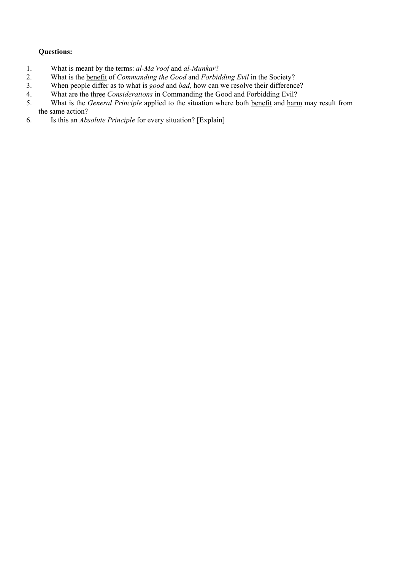- 1. What is meant by the terms: *al*-*Ma'roof* and *al-Munkar*?
- 2. What is the benefit of *Commanding the Good* and *Forbidding Evil* in the Society?
- 3. When people differ as to what is *good* and *bad*, how can we resolve their difference?
- 4. What are the <u>three</u> *Considerations* in Commanding the Good and Forbidding Evil?<br>5. What is the *General Principle* applied to the situation where both benefit and harn
- 5. What is the *General Principle* applied to the situation where both benefit and harm may result from the same action?
- 6. Is this an *Absolute Principle* for every situation? [Explain]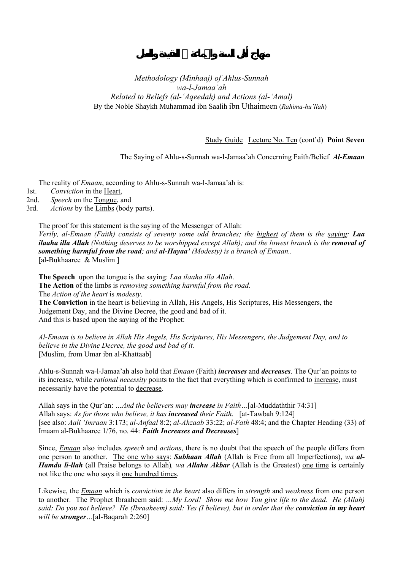Study Guide Lecture No. Ten (cont'd) **Point Seven** 

The Saying of Ahlu-s-Sunnah wa-l-Jamaa'ah Concerning Faith/Belief *Al-Emaan* 

The reality of *Emaan*, according to Ahlu-s-Sunnah wa-l-Jamaa'ah is:

1st. *Conviction* in the Heart,

2nd. *Speech* on the Tongue, and

3rd. *Actions* by the Limbs (body parts).

The proof for this statement is the saying of the Messenger of Allah: *Verily, al-Emaan (Faith) consists of seventy some odd branches; the highest of them is the saying: Laa ilaaha illa Allah* (Nothing deserves to be worshipped except Allah); and the lowest branch is the *removal of something harmful from the road; and al-Hayaa' (Modesty) is a branch of Emaan..*  [al-Bukhaaree & Muslim ]

**The Speech** upon the tongue is the saying: *Laa ilaaha illa Allah*. **The Action** of the limbs is *removing something harmful from the road*. The *Action of the heart* is *modesty*. **The Conviction** in the heart is believing in Allah, His Angels, His Scriptures, His Messengers, the

Judgement Day, and the Divine Decree, the good and bad of it. And this is based upon the saying of the Prophet:

*Al-Emaan is to believe in Allah His Angels, His Scriptures, His Messengers, the Judgement Day, and to believe in the Divine Decree, the good and bad of it.*  [Muslim, from Umar ibn al-Khattaab]

Ahlu-s-Sunnah wa-l-Jamaa'ah also hold that *Emaan* (Faith) *increases* and *decreases*. The Qur'an points to its increase, while *rational necessity* points to the fact that everything which is confirmed to increase, must necessarily have the potential to decrease.

Allah says in the Qur'an: *…And the believers may increase in Faith…*[al-Muddaththir 74:31] Allah says: *As for those who believe, it has increased their Faith.* [at-Tawbah 9:124] [see also: *Aali 'Imraan* 3:173; *al-Anfaal* 8:2; *al-Ahzaab* 33:22; *al-Fath* 48:4; and the Chapter Heading (33) of Imaam al-Bukhaaree 1/76, no. 44: *Faith Increases and Decreases*]

Since, *Emaan* also includes *speech* and *actions*, there is no doubt that the speech of the people differs from one person to another. The one who says: *Subhaan Allah* (Allah is Free from all Imperfections), *wa al-Hamdu li-llah* (all Praise belongs to Allah)*, wa Allahu Akbar* (Allah is the Greatest) one time is certainly not like the one who says it one hundred times.

Likewise, the *Emaan* which is *conviction in the heart* also differs in *strength* and *weakness* from one person to another. The Prophet Ibraaheem said: *…My Lord! Show me how You give life to the dead. He (Allah) said: Do you not believe? He (Ibraaheem) said: Yes (I believe), but in order that the conviction in my heart will be stronger…*[al-Baqarah 2:260]